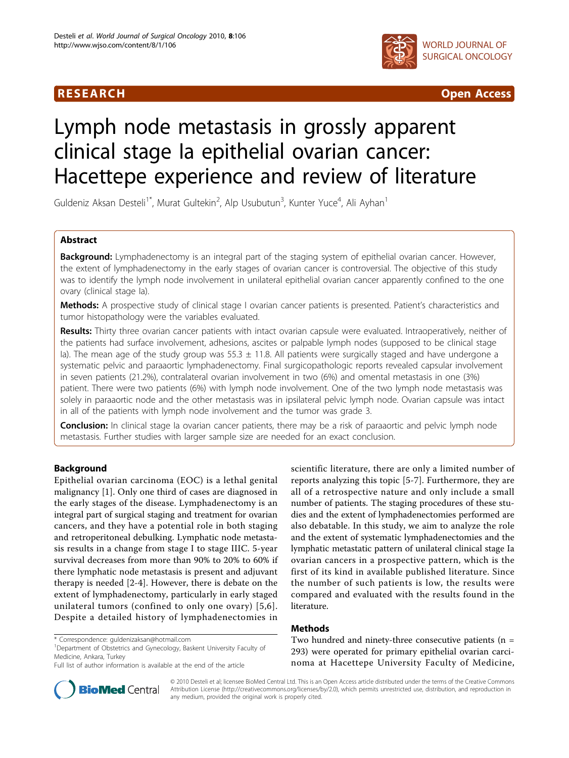

R E S EARCH Open Access

# Lymph node metastasis in grossly apparent clinical stage Ia epithelial ovarian cancer: Hacettepe experience and review of literature

Guldeniz Aksan Desteli<sup>1\*</sup>, Murat Gultekin<sup>2</sup>, Alp Usubutun<sup>3</sup>, Kunter Yuce<sup>4</sup>, Ali Ayhan<sup>1</sup>

# Abstract

Background: Lymphadenectomy is an integral part of the staging system of epithelial ovarian cancer. However, the extent of lymphadenectomy in the early stages of ovarian cancer is controversial. The objective of this study was to identify the lymph node involvement in unilateral epithelial ovarian cancer apparently confined to the one ovary (clinical stage Ia).

Methods: A prospective study of clinical stage I ovarian cancer patients is presented. Patient's characteristics and tumor histopathology were the variables evaluated.

Results: Thirty three ovarian cancer patients with intact ovarian capsule were evaluated. Intraoperatively, neither of the patients had surface involvement, adhesions, ascites or palpable lymph nodes (supposed to be clinical stage Ia). The mean age of the study group was  $55.3 \pm 11.8$ . All patients were surgically staged and have undergone a systematic pelvic and paraaortic lymphadenectomy. Final surgicopathologic reports revealed capsular involvement in seven patients (21.2%), contralateral ovarian involvement in two (6%) and omental metastasis in one (3%) patient. There were two patients (6%) with lymph node involvement. One of the two lymph node metastasis was solely in paraaortic node and the other metastasis was in ipsilateral pelvic lymph node. Ovarian capsule was intact in all of the patients with lymph node involvement and the tumor was grade 3.

**Conclusion:** In clinical stage Ia ovarian cancer patients, there may be a risk of paraaortic and pelvic lymph node metastasis. Further studies with larger sample size are needed for an exact conclusion.

# Background

Epithelial ovarian carcinoma (EOC) is a lethal genital malignancy [[1\]](#page-5-0). Only one third of cases are diagnosed in the early stages of the disease. Lymphadenectomy is an integral part of surgical staging and treatment for ovarian cancers, and they have a potential role in both staging and retroperitoneal debulking. Lymphatic node metastasis results in a change from stage I to stage IIIC. 5-year survival decreases from more than 90% to 20% to 60% if there lymphatic node metastasis is present and adjuvant therapy is needed [[2-4\]](#page-5-0). However, there is debate on the extent of lymphadenectomy, particularly in early staged unilateral tumors (confined to only one ovary) [[5,6\]](#page-5-0). Despite a detailed history of lymphadenectomies in

<sup>1</sup>Department of Obstetrics and Gynecology, Baskent University Faculty of Medicine, Ankara, Turkey

scientific literature, there are only a limited number of reports analyzing this topic [[5-7](#page-5-0)]. Furthermore, they are all of a retrospective nature and only include a small number of patients. The staging procedures of these studies and the extent of lymphadenectomies performed are also debatable. In this study, we aim to analyze the role and the extent of systematic lymphadenectomies and the lymphatic metastatic pattern of unilateral clinical stage Ia ovarian cancers in a prospective pattern, which is the first of its kind in available published literature. Since the number of such patients is low, the results were compared and evaluated with the results found in the literature.

#### Methods

Two hundred and ninety-three consecutive patients ( $n =$ 293) were operated for primary epithelial ovarian carcinoma at Hacettepe University Faculty of Medicine,



© 2010 Desteli et al; licensee BioMed Central Ltd. This is an Open Access article distributed under the terms of the Creative Commons Attribution License [\(http://creativecommons.org/licenses/by/2.0](http://creativecommons.org/licenses/by/2.0)), which permits unrestricted use, distribution, and reproduction in any medium, provided the original work is properly cited.

<sup>\*</sup> Correspondence: [guldenizaksan@hotmail.com](mailto:guldenizaksan@hotmail.com)

Full list of author information is available at the end of the article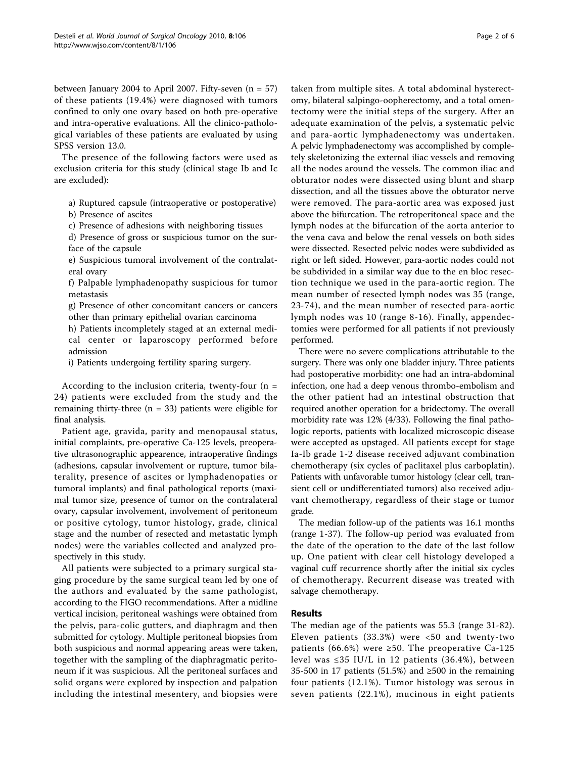between January 2004 to April 2007. Fifty-seven  $(n = 57)$ of these patients (19.4%) were diagnosed with tumors confined to only one ovary based on both pre-operative and intra-operative evaluations. All the clinico-pathological variables of these patients are evaluated by using SPSS version 13.0.

The presence of the following factors were used as exclusion criteria for this study (clinical stage Ib and Ic are excluded):

- a) Ruptured capsule (intraoperative or postoperative)
- b) Presence of ascites
- c) Presence of adhesions with neighboring tissues

d) Presence of gross or suspicious tumor on the surface of the capsule

e) Suspicious tumoral involvement of the contralateral ovary

f) Palpable lymphadenopathy suspicious for tumor metastasis

g) Presence of other concomitant cancers or cancers other than primary epithelial ovarian carcinoma

h) Patients incompletely staged at an external medical center or laparoscopy performed before admission

i) Patients undergoing fertility sparing surgery.

According to the inclusion criteria, twenty-four  $(n =$ 24) patients were excluded from the study and the remaining thirty-three ( $n = 33$ ) patients were eligible for final analysis.

Patient age, gravida, parity and menopausal status, initial complaints, pre-operative Ca-125 levels, preoperative ultrasonographic appearence, intraoperative findings (adhesions, capsular involvement or rupture, tumor bilaterality, presence of ascites or lymphadenopaties or tumoral implants) and final pathological reports (maximal tumor size, presence of tumor on the contralateral ovary, capsular involvement, involvement of peritoneum or positive cytology, tumor histology, grade, clinical stage and the number of resected and metastatic lymph nodes) were the variables collected and analyzed prospectively in this study.

All patients were subjected to a primary surgical staging procedure by the same surgical team led by one of the authors and evaluated by the same pathologist, according to the FIGO recommendations. After a midline vertical incision, peritoneal washings were obtained from the pelvis, para-colic gutters, and diaphragm and then submitted for cytology. Multiple peritoneal biopsies from both suspicious and normal appearing areas were taken, together with the sampling of the diaphragmatic peritoneum if it was suspicious. All the peritoneal surfaces and solid organs were explored by inspection and palpation including the intestinal mesentery, and biopsies were taken from multiple sites. A total abdominal hysterectomy, bilateral salpingo-oopherectomy, and a total omentectomy were the initial steps of the surgery. After an adequate examination of the pelvis, a systematic pelvic and para-aortic lymphadenectomy was undertaken. A pelvic lymphadenectomy was accomplished by completely skeletonizing the external iliac vessels and removing all the nodes around the vessels. The common iliac and obturator nodes were dissected using blunt and sharp dissection, and all the tissues above the obturator nerve were removed. The para-aortic area was exposed just above the bifurcation. The retroperitoneal space and the lymph nodes at the bifurcation of the aorta anterior to the vena cava and below the renal vessels on both sides were dissected. Resected pelvic nodes were subdivided as right or left sided. However, para-aortic nodes could not be subdivided in a similar way due to the en bloc resection technique we used in the para-aortic region. The mean number of resected lymph nodes was 35 (range, 23-74), and the mean number of resected para-aortic lymph nodes was 10 (range 8-16). Finally, appendectomies were performed for all patients if not previously performed.

There were no severe complications attributable to the surgery. There was only one bladder injury. Three patients had postoperative morbidity: one had an intra-abdominal infection, one had a deep venous thrombo-embolism and the other patient had an intestinal obstruction that required another operation for a bridectomy. The overall morbidity rate was 12% (4/33). Following the final pathologic reports, patients with localized microscopic disease were accepted as upstaged. All patients except for stage Ia-Ib grade 1-2 disease received adjuvant combination chemotherapy (six cycles of paclitaxel plus carboplatin). Patients with unfavorable tumor histology (clear cell, transient cell or undifferentiated tumors) also received adjuvant chemotherapy, regardless of their stage or tumor grade.

The median follow-up of the patients was 16.1 months (range 1-37). The follow-up period was evaluated from the date of the operation to the date of the last follow up. One patient with clear cell histology developed a vaginal cuff recurrence shortly after the initial six cycles of chemotherapy. Recurrent disease was treated with salvage chemotherapy.

# Results

The median age of the patients was 55.3 (range 31-82). Eleven patients (33.3%) were <50 and twenty-two patients (66.6%) were ≥50. The preoperative Ca-125 level was ≤35 IU/L in 12 patients (36.4%), between 35-500 in 17 patients (51.5%) and  $\geq$ 500 in the remaining four patients (12.1%). Tumor histology was serous in seven patients (22.1%), mucinous in eight patients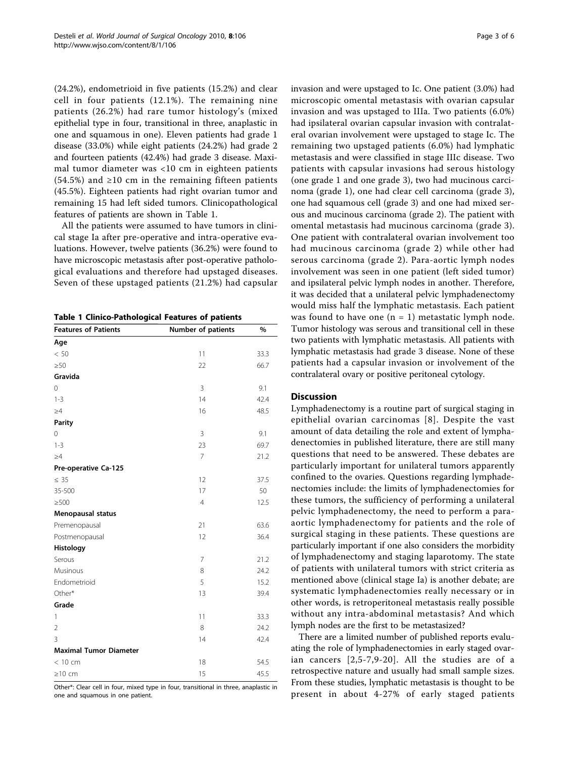(24.2%), endometrioid in five patients (15.2%) and clear cell in four patients (12.1%). The remaining nine patients (26.2%) had rare tumor histology's (mixed epithelial type in four, transitional in three, anaplastic in one and squamous in one). Eleven patients had grade 1 disease (33.0%) while eight patients (24.2%) had grade 2 and fourteen patients (42.4%) had grade 3 disease. Maximal tumor diameter was <10 cm in eighteen patients  $(54.5%)$  and ≥10 cm in the remaining fifteen patients (45.5%). Eighteen patients had right ovarian tumor and remaining 15 had left sided tumors. Clinicopathological features of patients are shown in Table 1.

All the patients were assumed to have tumors in clinical stage Ia after pre-operative and intra-operative evaluations. However, twelve patients (36.2%) were found to have microscopic metastasis after post-operative pathological evaluations and therefore had upstaged diseases. Seven of these upstaged patients (21.2%) had capsular

Table 1 Clinico-Pathological Features of patients

| <b>Features of Patients</b>   | Number of patients | %    |
|-------------------------------|--------------------|------|
| Age                           |                    |      |
| < 50                          | 11                 | 33.3 |
| $\geq 50$                     | 22                 | 66.7 |
| Gravida                       |                    |      |
| 0                             | 3                  | 9.1  |
| $1 - 3$                       | 14                 | 42.4 |
| $\geq 4$                      | 16                 | 48.5 |
| Parity                        |                    |      |
| 0                             | 3                  | 9.1  |
| $1 - 3$                       | 23                 | 69.7 |
| $\geq 4$                      | $\overline{7}$     | 21.2 |
| Pre-operative Ca-125          |                    |      |
| $\leq$ 35                     | 12                 | 37.5 |
| 35-500                        | 17                 | 50   |
| $\geq$ 500                    | $\overline{4}$     | 12.5 |
| Menopausal status             |                    |      |
| Premenopausal                 | 21                 | 63.6 |
| Postmenopausal                | 12                 | 36.4 |
| Histology                     |                    |      |
| Serous                        | $\overline{7}$     | 21.2 |
| Musinous                      | 8                  | 24.2 |
| Endometrioid                  | 5                  | 15.2 |
| Other*                        | 13                 | 39.4 |
| Grade                         |                    |      |
| 1                             | 11                 | 33.3 |
| $\overline{2}$                | 8                  | 24.2 |
| 3                             | 14                 | 42.4 |
| <b>Maximal Tumor Diameter</b> |                    |      |
| < 10 cm                       | 18                 | 54.5 |
| $\geq 10$ cm                  | 15                 | 45.5 |

Other\*: Clear cell in four, mixed type in four, transitional in three, anaplastic in one and squamous in one patient.

invasion and were upstaged to Ic. One patient (3.0%) had microscopic omental metastasis with ovarian capsular invasion and was upstaged to IIIa. Two patients (6.0%) had ipsilateral ovarian capsular invasion with contralateral ovarian involvement were upstaged to stage Ic. The remaining two upstaged patients (6.0%) had lymphatic metastasis and were classified in stage IIIc disease. Two patients with capsular invasions had serous histology (one grade 1 and one grade 3), two had mucinous carcinoma (grade 1), one had clear cell carcinoma (grade 3), one had squamous cell (grade 3) and one had mixed serous and mucinous carcinoma (grade 2). The patient with omental metastasis had mucinous carcinoma (grade 3). One patient with contralateral ovarian involvement too had mucinous carcinoma (grade 2) while other had serous carcinoma (grade 2). Para-aortic lymph nodes involvement was seen in one patient (left sided tumor) and ipsilateral pelvic lymph nodes in another. Therefore, it was decided that a unilateral pelvic lymphadenectomy would miss half the lymphatic metastasis. Each patient was found to have one  $(n = 1)$  metastatic lymph node. Tumor histology was serous and transitional cell in these two patients with lymphatic metastasis. All patients with lymphatic metastasis had grade 3 disease. None of these patients had a capsular invasion or involvement of the contralateral ovary or positive peritoneal cytology.

### **Discussion**

Lymphadenectomy is a routine part of surgical staging in epithelial ovarian carcinomas [[8](#page-5-0)]. Despite the vast amount of data detailing the role and extent of lymphadenectomies in published literature, there are still many questions that need to be answered. These debates are particularly important for unilateral tumors apparently confined to the ovaries. Questions regarding lymphadenectomies include: the limits of lymphadenectomies for these tumors, the sufficiency of performing a unilateral pelvic lymphadenectomy, the need to perform a paraaortic lymphadenectomy for patients and the role of surgical staging in these patients. These questions are particularly important if one also considers the morbidity of lymphadenectomy and staging laparotomy. The state of patients with unilateral tumors with strict criteria as mentioned above (clinical stage Ia) is another debate; are systematic lymphadenectomies really necessary or in other words, is retroperitoneal metastasis really possible without any intra-abdominal metastasis? And which lymph nodes are the first to be metastasized?

There are a limited number of published reports evaluating the role of lymphadenectomies in early staged ovarian cancers [[2](#page-5-0),[5-7](#page-5-0),[9-20](#page-5-0)]. All the studies are of a retrospective nature and usually had small sample sizes. From these studies, lymphatic metastasis is thought to be present in about 4-27% of early staged patients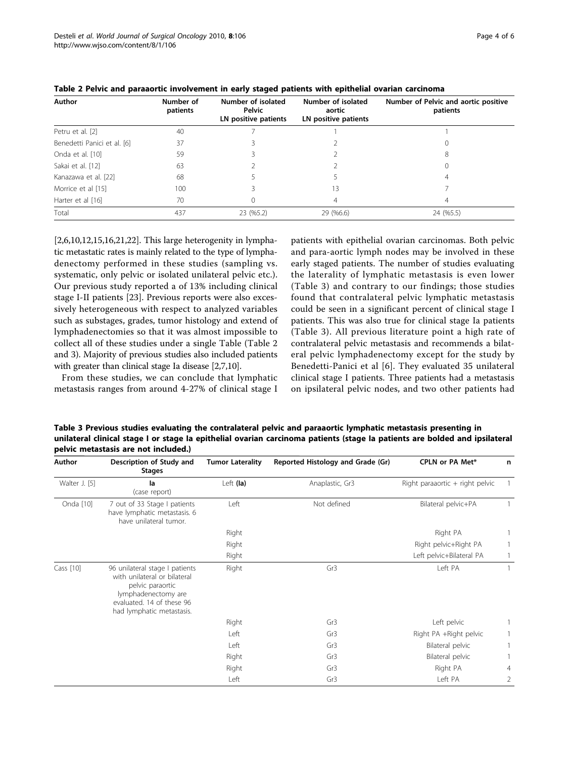| Author                      | Number of<br>patients | Number of isolated<br>Pelvic<br>LN positive patients | Number of isolated<br>aortic<br>LN positive patients | Number of Pelvic and aortic positive<br>patients |
|-----------------------------|-----------------------|------------------------------------------------------|------------------------------------------------------|--------------------------------------------------|
| Petru et al. [2]            | 40                    |                                                      |                                                      |                                                  |
| Benedetti Panici et al. [6] | 37                    |                                                      |                                                      |                                                  |
| Onda et al. [10]            | 59                    |                                                      |                                                      | 8                                                |
| Sakai et al. [12]           | 63                    |                                                      |                                                      |                                                  |
| Kanazawa et al. [22]        | 68                    |                                                      |                                                      |                                                  |
| Morrice et al [15]          | 100                   |                                                      | 13                                                   |                                                  |
| Harter et al [16]           | 70                    |                                                      |                                                      |                                                  |
| Total                       | 437                   | 23 (%5.2)                                            | 29 (%6.6)                                            | 24 (%5.5)                                        |

<span id="page-3-0"></span>Table 2 Pelvic and paraaortic involvement in early staged patients with epithelial ovarian carcinoma

[[2,6,10](#page-5-0),[12,15,16,21,22](#page-5-0)]. This large heterogenity in lymphatic metastatic rates is mainly related to the type of lymphadenectomy performed in these studies (sampling vs. systematic, only pelvic or isolated unilateral pelvic etc.). Our previous study reported a of 13% including clinical stage I-II patients [\[23](#page-5-0)]. Previous reports were also excessively heterogeneous with respect to analyzed variables such as substages, grades, tumor histology and extend of lymphadenectomies so that it was almost impossible to collect all of these studies under a single Table (Table 2 and 3). Majority of previous studies also included patients with greater than clinical stage Ia disease [[2,7,10\]](#page-5-0).

From these studies, we can conclude that lymphatic metastasis ranges from around 4-27% of clinical stage I patients with epithelial ovarian carcinomas. Both pelvic and para-aortic lymph nodes may be involved in these early staged patients. The number of studies evaluating the laterality of lymphatic metastasis is even lower (Table 3) and contrary to our findings; those studies found that contralateral pelvic lymphatic metastasis could be seen in a significant percent of clinical stage I patients. This was also true for clinical stage Ia patients (Table 3). All previous literature point a high rate of contralateral pelvic metastasis and recommends a bilateral pelvic lymphadenectomy except for the study by Benedetti-Panici et al [[6](#page-5-0)]. They evaluated 35 unilateral clinical stage I patients. Three patients had a metastasis on ipsilateral pelvic nodes, and two other patients had

Table 3 Previous studies evaluating the contralateral pelvic and paraaortic lymphatic metastasis presenting in unilateral clinical stage I or stage Ia epithelial ovarian carcinoma patients (stage Ia patients are bolded and ipsilateral pelvic metastasis are not included.)

| Author                              | Description of Study and<br>Stages                                                                                                                                  | <b>Tumor Laterality</b> | Reported Histology and Grade (Gr) | <b>CPLN or PA Met*</b>          | n |
|-------------------------------------|---------------------------------------------------------------------------------------------------------------------------------------------------------------------|-------------------------|-----------------------------------|---------------------------------|---|
| Walter J. [5]                       | la<br>(case report)                                                                                                                                                 | Left (la)               | Anaplastic, Gr3                   | Right paraaortic + right pelvic |   |
| Onda [10]<br>have unilateral tumor. | 7 out of 33 Stage I patients<br>have lymphatic metastasis. 6                                                                                                        | Left                    | Not defined                       | Bilateral pelvic+PA             |   |
|                                     |                                                                                                                                                                     | Right                   |                                   | Right PA                        |   |
|                                     |                                                                                                                                                                     | Right                   |                                   | Right pelvic+Right PA           |   |
|                                     |                                                                                                                                                                     | Right                   |                                   | Left pelvic+Bilateral PA        |   |
| $\text{Cas } [10]$                  | 96 unilateral stage I patients<br>with unilateral or bilateral<br>pelvic paraortic<br>lymphadenectomy are<br>evaluated. 14 of these 96<br>had lymphatic metastasis. | Right                   | Gr3                               | Left PA                         |   |
|                                     |                                                                                                                                                                     | Right                   | Gr3                               | Left pelvic                     |   |
|                                     |                                                                                                                                                                     | Left                    | Gr3                               | Right PA +Right pelvic          |   |
|                                     |                                                                                                                                                                     | Left                    | Gr3                               | Bilateral pelvic                |   |
|                                     |                                                                                                                                                                     | Right                   | Gr3                               | Bilateral pelvic                |   |
|                                     |                                                                                                                                                                     | Right                   | Gr3                               | Right PA                        | 4 |
|                                     |                                                                                                                                                                     | Left                    | Gr3                               | Left PA                         | 2 |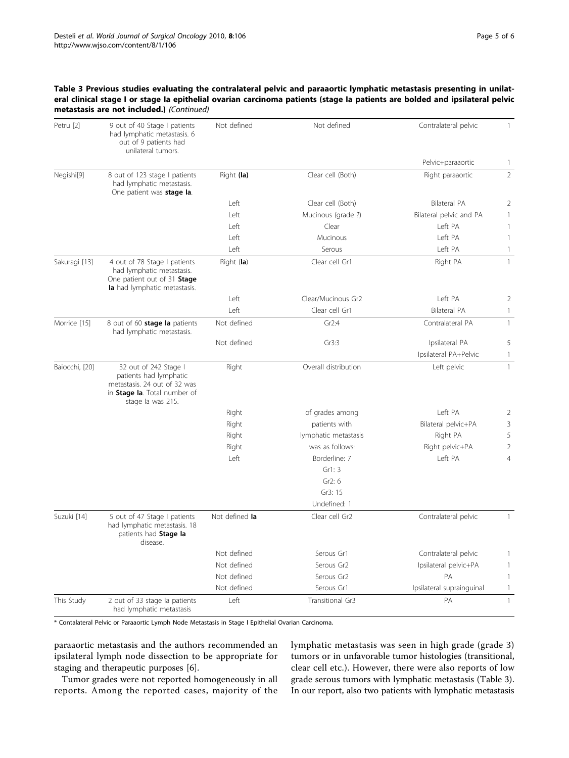# Table 3 Previous studies evaluating the contralateral pelvic and paraaortic lymphatic metastasis presenting in unilateral clinical stage I or stage Ia epithelial ovarian carcinoma patients (stage Ia patients are bolded and ipsilateral pelvic metastasis are not included.) (Continued)

| Petru [2]                                                                                                                                 | 9 out of 40 Stage I patients<br>had lymphatic metastasis. 6<br>out of 9 patients had<br>unilateral tumors.                           | Not defined    | Not defined          | Contralateral pelvic      | $\mathbf{1}$   |
|-------------------------------------------------------------------------------------------------------------------------------------------|--------------------------------------------------------------------------------------------------------------------------------------|----------------|----------------------|---------------------------|----------------|
|                                                                                                                                           |                                                                                                                                      |                |                      | Pelvic+paraaortic         | $\mathbf{1}$   |
| Negishi <sup>[9]</sup>                                                                                                                    | 8 out of 123 stage I patients<br>had lymphatic metastasis.<br>One patient was stage la.                                              | Right (la)     | Clear cell (Both)    | Right paraaortic          | $\overline{2}$ |
|                                                                                                                                           |                                                                                                                                      | Left           | Clear cell (Both)    | <b>Bilateral PA</b>       | $\overline{2}$ |
|                                                                                                                                           |                                                                                                                                      | Left           | Mucinous (grade ?)   | Bilateral pelvic and PA   | $\mathbf{1}$   |
|                                                                                                                                           |                                                                                                                                      | Left           | Clear                | Left PA                   | $\mathbf{1}$   |
|                                                                                                                                           |                                                                                                                                      | Left           | Mucinous             | Left PA                   | $\mathbf{1}$   |
|                                                                                                                                           |                                                                                                                                      | Left           | Serous               | Left PA                   | $\mathbf{1}$   |
| Sakuragi [13]<br>4 out of 78 Stage I patients<br>had lymphatic metastasis.<br>One patient out of 31 Stage<br>la had lymphatic metastasis. | Right (la)                                                                                                                           | Clear cell Gr1 | Right PA             | $\mathbf{1}$              |                |
|                                                                                                                                           |                                                                                                                                      | Left           | Clear/Mucinous Gr2   | Left PA                   | $\overline{2}$ |
|                                                                                                                                           |                                                                                                                                      | Left           | Clear cell Gr1       | <b>Bilateral PA</b>       | $\mathbf{1}$   |
| Morrice [15]<br>had lymphatic metastasis.                                                                                                 | 8 out of 60 stage la patients                                                                                                        | Not defined    | Gr2:4                | Contralateral PA          | $\mathbf{1}$   |
|                                                                                                                                           |                                                                                                                                      | Not defined    | Gr3:3                | Ipsilateral PA            | 5              |
|                                                                                                                                           |                                                                                                                                      |                |                      | Ipsilateral PA+Pelvic     | $\mathbf{1}$   |
| Baiocchi, [20]                                                                                                                            | 32 out of 242 Stage I<br>patients had lymphatic<br>metastasis. 24 out of 32 was<br>in Stage la. Total number of<br>stage la was 215. | Right          | Overall distribution | Left pelvic               | $\mathbf{1}$   |
|                                                                                                                                           |                                                                                                                                      | Right          | of grades among      | Left PA                   | $\overline{2}$ |
|                                                                                                                                           |                                                                                                                                      | Right          | patients with        | Bilateral pelvic+PA       | 3              |
|                                                                                                                                           |                                                                                                                                      | Right          | lymphatic metastasis | Right PA                  | 5              |
|                                                                                                                                           |                                                                                                                                      | Right          | was as follows:      | Right pelvic+PA           | $\overline{2}$ |
|                                                                                                                                           |                                                                                                                                      | Left           | Borderline: 7        | Left PA                   | $\overline{4}$ |
|                                                                                                                                           |                                                                                                                                      |                | Gr1: 3               |                           |                |
|                                                                                                                                           |                                                                                                                                      |                | Gr2: 6               |                           |                |
|                                                                                                                                           |                                                                                                                                      |                | Gr3: 15              |                           |                |
|                                                                                                                                           |                                                                                                                                      |                | Undefined: 1         |                           |                |
| Suzuki [14]<br>patients had Stage la<br>disease.                                                                                          | 5 out of 47 Stage I patients<br>had lymphatic metastasis. 18                                                                         | Not defined la | Clear cell Gr2       | Contralateral pelvic      | $\mathbf{1}$   |
|                                                                                                                                           |                                                                                                                                      | Not defined    | Serous Gr1           | Contralateral pelvic      | $\mathbf{1}$   |
|                                                                                                                                           |                                                                                                                                      | Not defined    | Serous Gr2           | Ipsilateral pelvic+PA     | $\mathbf{1}$   |
|                                                                                                                                           |                                                                                                                                      | Not defined    | Serous Gr2           | PA                        | $\mathbf{1}$   |
|                                                                                                                                           |                                                                                                                                      | Not defined    | Serous Gr1           | Ipsilateral suprainguinal | $\mathbf{1}$   |
| This Study                                                                                                                                | 2 out of 33 stage la patients<br>had lymphatic metastasis                                                                            | Left           | Transitional Gr3     | PA                        | $\mathbf{1}$   |

\* Contalateral Pelvic or Paraaortic Lymph Node Metastasis in Stage I Epithelial Ovarian Carcinoma.

paraaortic metastasis and the authors recommended an ipsilateral lymph node dissection to be appropriate for staging and therapeutic purposes [\[6](#page-5-0)].

Tumor grades were not reported homogeneously in all reports. Among the reported cases, majority of the lymphatic metastasis was seen in high grade (grade 3) tumors or in unfavorable tumor histologies (transitional, clear cell etc.). However, there were also reports of low grade serous tumors with lymphatic metastasis (Table [3](#page-3-0)). In our report, also two patients with lymphatic metastasis